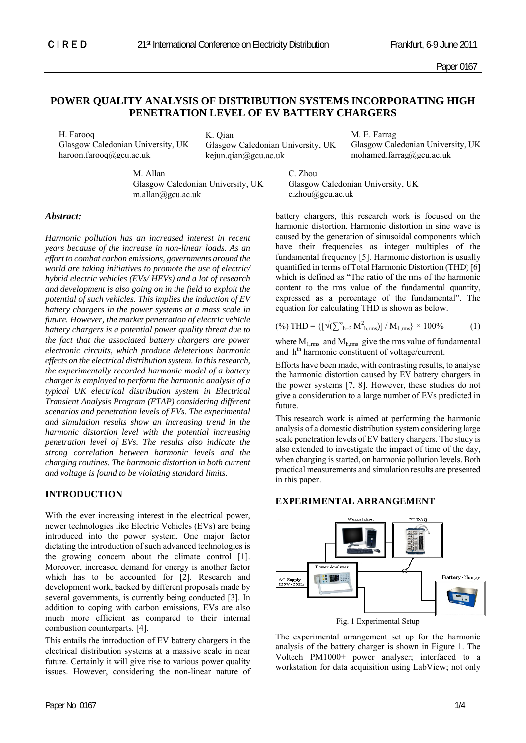Paper 0167

# **POWER QUALITY ANALYSIS OF DISTRIBUTION SYSTEMS INCORPORATING HIGH PENETRATION LEVEL OF EV BATTERY CHARGERS**

H. Farooq Glasgow Caledonian University, UK haroon.farooq@gcu.ac.uk

K. Qian Glasgow Caledonian University, UK kejun.qian@gcu.ac.uk

M. E. Farrag Glasgow Caledonian University, UK mohamed.farrag@gcu.ac.uk

M. Allan Glasgow Caledonian University, UK m.allan@gcu.ac.uk

C. Zhou Glasgow Caledonian University, UK c.zhou@gcu.ac.uk

## *Abstract:*

*Harmonic pollution has an increased interest in recent years because of the increase in non-linear loads. As an effort to combat carbon emissions, governments around the world are taking initiatives to promote the use of electric/ hybrid electric vehicles (EVs/ HEVs) and a lot of research and development is also going on in the field to exploit the potential of such vehicles. This implies the induction of EV battery chargers in the power systems at a mass scale in future. However, the market penetration of electric vehicle battery chargers is a potential power quality threat due to the fact that the associated battery chargers are power electronic circuits, which produce deleterious harmonic effects on the electrical distribution system. In this research, the experimentally recorded harmonic model of a battery charger is employed to perform the harmonic analysis of a typical UK electrical distribution system in Electrical Transient Analysis Program (ETAP) considering different scenarios and penetration levels of EVs. The experimental and simulation results show an increasing trend in the harmonic distortion level with the potential increasing penetration level of EVs. The results also indicate the strong correlation between harmonic levels and the charging routines. The harmonic distortion in both current and voltage is found to be violating standard limits.* 

## **INTRODUCTION**

With the ever increasing interest in the electrical power, newer technologies like Electric Vehicles (EVs) are being introduced into the power system. One major factor dictating the introduction of such advanced technologies is the growing concern about the climate control [1]. Moreover, increased demand for energy is another factor which has to be accounted for [2]. Research and development work, backed by different proposals made by several governments, is currently being conducted [3]. In addition to coping with carbon emissions, EVs are also much more efficient as compared to their internal combustion counterparts. [4].

This entails the introduction of EV battery chargers in the electrical distribution systems at a massive scale in near future. Certainly it will give rise to various power quality issues. However, considering the non-linear nature of battery chargers, this research work is focused on the harmonic distortion. Harmonic distortion in sine wave is caused by the generation of sinusoidal components which have their frequencies as integer multiples of the fundamental frequency [5]. Harmonic distortion is usually quantified in terms of Total Harmonic Distortion (THD) [6] which is defined as "The ratio of the rms of the harmonic content to the rms value of the fundamental quantity, expressed as a percentage of the fundamental". The equation for calculating THD is shown as below.

$$
(\%) \text{THD} = \left\{ \left[ \sqrt{\left(\sum_{h=2}^{\infty} M_{h,rms}^2\right)} \right] / M_{1,rms} \right\} \times 100\% \tag{1}
$$

where  $M_{1,rms}$  and  $M_{h,rms}$  give the rms value of fundamental and  $h<sup>th</sup>$  harmonic constituent of voltage/current.

Efforts have been made, with contrasting results, to analyse the harmonic distortion caused by EV battery chargers in the power systems [7, 8]. However, these studies do not give a consideration to a large number of EVs predicted in future.

This research work is aimed at performing the harmonic analysis of a domestic distribution system considering large scale penetration levels of EV battery chargers. The study is also extended to investigate the impact of time of the day, when charging is started, on harmonic pollution levels. Both practical measurements and simulation results are presented in this paper.

## **EXPERIMENTAL ARRANGEMENT**



Fig. 1 Experimental Setup

The experimental arrangement set up for the harmonic analysis of the battery charger is shown in Figure 1. The Voltech PM1000+ power analyser; interfaced to a workstation for data acquisition using LabView; not only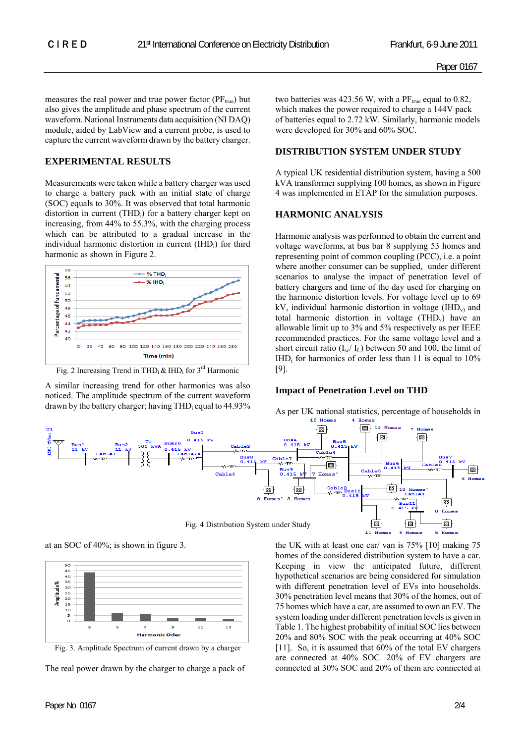measures the real power and true power factor  $(PF_{true})$  but also gives the amplitude and phase spectrum of the current waveform. National Instruments data acquisition (NI DAQ) module, aided by LabView and a current probe, is used to capture the current waveform drawn by the battery charger.

## **EXPERIMENTAL RESULTS**

Measurements were taken while a battery charger was used to charge a battery pack with an initial state of charge (SOC) equals to 30%. It was observed that total harmonic distortion in current (THD<sub>i</sub>) for a battery charger kept on increasing, from 44% to 55.3%, with the charging process which can be attributed to a gradual increase in the individual harmonic distortion in current (IHD<sub>i</sub>) for third harmonic as shown in Figure 2.



Fig. 2 Increasing Trend in THD<sub>i</sub> & IHD<sub>i</sub> for  $3^{rd}$  Harmonic

A similar increasing trend for other harmonics was also noticed. The amplitude spectrum of the current waveform drawn by the battery charger; having THD<sub>i</sub> equal to  $44.93\%$  two batteries was 423.56 W, with a  $PF_{true}$  equal to 0.82, which makes the power required to charge a 144V pack of batteries equal to 2.72 kW. Similarly, harmonic models were developed for 30% and 60% SOC.

### **DISTRIBUTION SYSTEM UNDER STUDY**

A typical UK residential distribution system, having a 500 kVA transformer supplying 100 homes, as shown in Figure 4 was implemented in ETAP for the simulation purposes.

#### **HARMONIC ANALYSIS**

Harmonic analysis was performed to obtain the current and voltage waveforms, at bus bar 8 supplying 53 homes and representing point of common coupling (PCC), i.e. a point where another consumer can be supplied, under different scenarios to analyse the impact of penetration level of battery chargers and time of the day used for charging on the harmonic distortion levels. For voltage level up to 69 kV, individual harmonic distortion in voltage  $(HID<sub>v</sub>)$  and total harmonic distortion in voltage  $(THD<sub>v</sub>)$  have an allowable limit up to 3% and 5% respectively as per IEEE recommended practices. For the same voltage level and a short circuit ratio  $(I_{sc}/ I_L)$  between 50 and 100, the limit of  $IHD<sub>i</sub>$  for harmonics of order less than 11 is equal to 10% [9].

#### **Impact of Penetration Level on THD**

As per UK national statistics, percentage of households in



at an SOC of 40%; is shown in figure 3.



Fig. 3. Amplitude Spectrum of current drawn by a charger

The real power drawn by the charger to charge a pack of

the UK with at least one car/ van is 75% [10] making 75 homes of the considered distribution system to have a car. Keeping in view the anticipated future, different hypothetical scenarios are being considered for simulation with different penetration level of EVs into households. 30% penetration level means that 30% of the homes, out of 75 homes which have a car, are assumed to own an EV. The system loading under different penetration levels is given in Table 1. The highest probability of initial SOC lies between 20% and 80% SOC with the peak occurring at 40% SOC [11]. So, it is assumed that 60% of the total EV chargers are connected at 40% SOC. 20% of EV chargers are connected at 30% SOC and 20% of them are connected at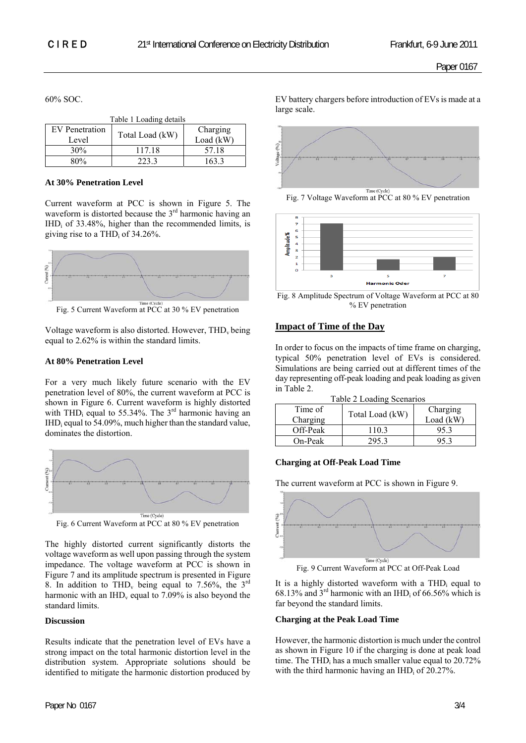60% SOC.

| Table 1 Loading details |                 |             |  |  |
|-------------------------|-----------------|-------------|--|--|
| EV Penetration          | Total Load (kW) | Charging    |  |  |
| Level                   |                 | Load $(kW)$ |  |  |
| 30%                     | 117 18          | 57.18       |  |  |
| 80%                     | 2233            | 163.3       |  |  |

#### **At 30% Penetration Level**

Current waveform at PCC is shown in Figure 5. The waveform is distorted because the  $3<sup>rd</sup>$  harmonic having an  $IHD_i$  of 33.48%, higher than the recommended limits, is giving rise to a THD<sub>i</sub> of  $34.26\%$ .



Fig. 5 Current Waveform at PCC at 30 % EV penetration

Voltage waveform is also distorted. However, THD<sub>v</sub> being equal to 2.62% is within the standard limits.

#### **At 80% Penetration Level**

For a very much likely future scenario with the EV penetration level of 80%, the current waveform at PCC is shown in Figure 6. Current waveform is highly distorted with THD<sub>i</sub> equal to 55.34%. The  $3<sup>rd</sup>$  harmonic having an IHDi equal to 54.09%, much higher than the standard value, dominates the distortion.



The highly distorted current significantly distorts the voltage waveform as well upon passing through the system impedance. The voltage waveform at PCC is shown in Figure 7 and its amplitude spectrum is presented in Figure 8. In addition to THD<sub>v</sub> being equal to 7.56%, the  $3^{rd}$ harmonic with an  $IHD_v$  equal to 7.09% is also beyond the standard limits.

#### **Discussion**

Results indicate that the penetration level of EVs have a strong impact on the total harmonic distortion level in the distribution system. Appropriate solutions should be identified to mitigate the harmonic distortion produced by

EV battery chargers before introduction of EVs is made at a large scale.







<sup>%</sup> EV penetration

## **Impact of Time of the Day**

In order to focus on the impacts of time frame on charging, typical 50% penetration level of EVs is considered. Simulations are being carried out at different times of the day representing off-peak loading and peak loading as given in Table 2.

|  | Table 2 Loading Scenarios |  |
|--|---------------------------|--|
|  |                           |  |

| Time of<br>Charging | Total Load (kW) | Charging<br>Load $(kW)$ |
|---------------------|-----------------|-------------------------|
| Off-Peak            | 110.3           |                         |
| On-Peak             | 295.3           |                         |

## **Charging at Off-Peak Load Time**

The current waveform at PCC is shown in Figure 9.



Fig. 9 Current Waveform at PCC at Off-Peak Load

It is a highly distorted waveform with a  $THD<sub>i</sub>$  equal to 68.13% and  $3^{rd}$  harmonic with an IHD<sub>i</sub> of 66.56% which is far beyond the standard limits.

## **Charging at the Peak Load Time**

However, the harmonic distortion is much under the control as shown in Figure 10 if the charging is done at peak load time. The THD<sub>i</sub> has a much smaller value equal to  $20.72\%$ with the third harmonic having an  $IHD_i$  of 20.27%.